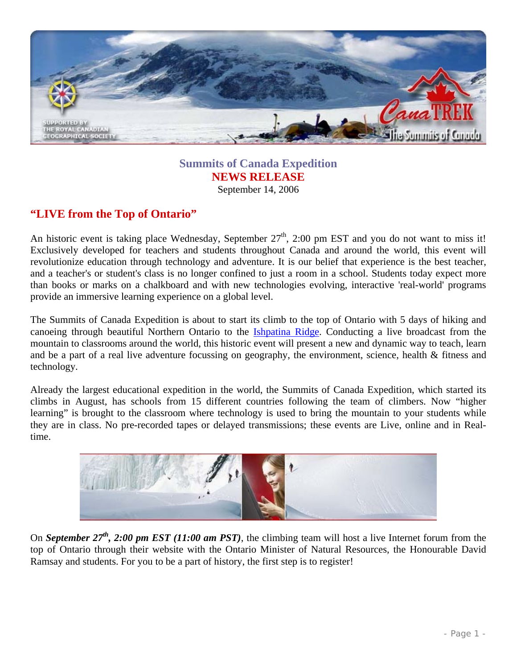

**Summits of Canada Expedition NEWS RELEASE**  September 14, 2006

## **"LIVE from the Top of Ontario"**

An historic event is taking place Wednesday, September  $27<sup>th</sup>$ , 2:00 pm EST and you do not want to miss it! Exclusively developed for teachers and students throughout Canada and around the world, this event will revolutionize education through technology and adventure. It is our belief that experience is the best teacher, and a teacher's or student's class is no longer confined to just a room in a school. Students today expect more than books or marks on a chalkboard and with new technologies evolving, interactive 'real-world' programs provide an immersive learning experience on a global level.

The Summits of Canada Expedition is about to start its climb to the top of Ontario with 5 days of hiking and canoeing through beautiful Northern Ontario to the [Ishpatina Ridge](http://www.summitsofcanada.ca/canatrek/summits/ontario.html). Conducting a live broadcast from the mountain to classrooms around the world, this historic event will present a new and dynamic way to teach, learn and be a part of a real live adventure focussing on geography, the environment, science, health & fitness and technology.

Already the largest educational expedition in the world, the Summits of Canada Expedition, which started its climbs in August, has schools from 15 different countries following the team of climbers. Now "higher learning" is brought to the classroom where technology is used to bring the mountain to your students while they are in class. No pre-recorded tapes or delayed transmissions; these events are Live, online and in Realtime.



On *September 27<sup>th</sup>*, 2:00 pm EST (11:00 am PST), the climbing team will host a live Internet forum from the top of Ontario through their website with the Ontario Minister of Natural Resources, the Honourable David Ramsay and students. For you to be a part of history, the first step is to register!